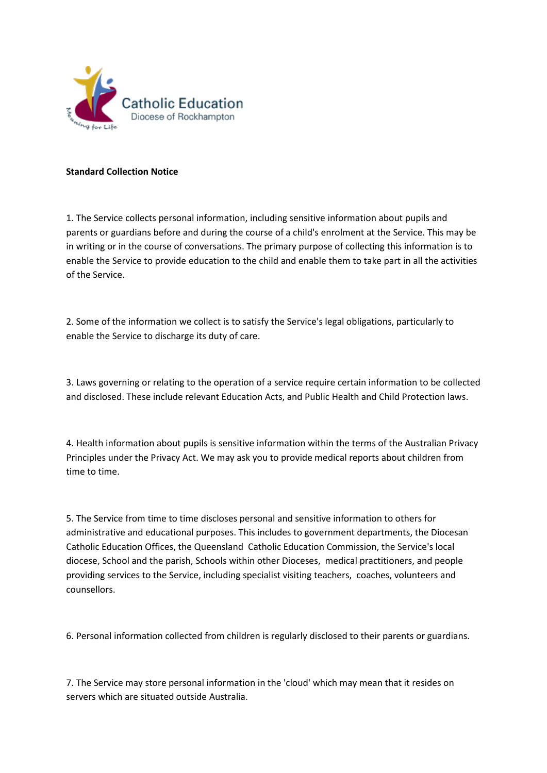

## **Standard Collection Notice**

1. The Service collects personal information, including sensitive information about pupils and parents or guardians before and during the course of a child's enrolment at the Service. This may be in writing or in the course of conversations. The primary purpose of collecting this information is to enable the Service to provide education to the child and enable them to take part in all the activities of the Service.

2. Some of the information we collect is to satisfy the Service's legal obligations, particularly to enable the Service to discharge its duty of care.

3. Laws governing or relating to the operation of a service require certain information to be collected and disclosed. These include relevant Education Acts, and Public Health and Child Protection laws.

4. Health information about pupils is sensitive information within the terms of the Australian Privacy Principles under the Privacy Act. We may ask you to provide medical reports about children from time to time.

5. The Service from time to time discloses personal and sensitive information to others for administrative and educational purposes. This includes to government departments, the Diocesan Catholic Education Offices, the Queensland Catholic Education Commission, the Service's local diocese, School and the parish, Schools within other Dioceses, medical practitioners, and people providing services to the Service, including specialist visiting teachers, coaches, volunteers and counsellors.

6. Personal information collected from children is regularly disclosed to their parents or guardians.

7. The Service may store personal information in the 'cloud' which may mean that it resides on servers which are situated outside Australia.